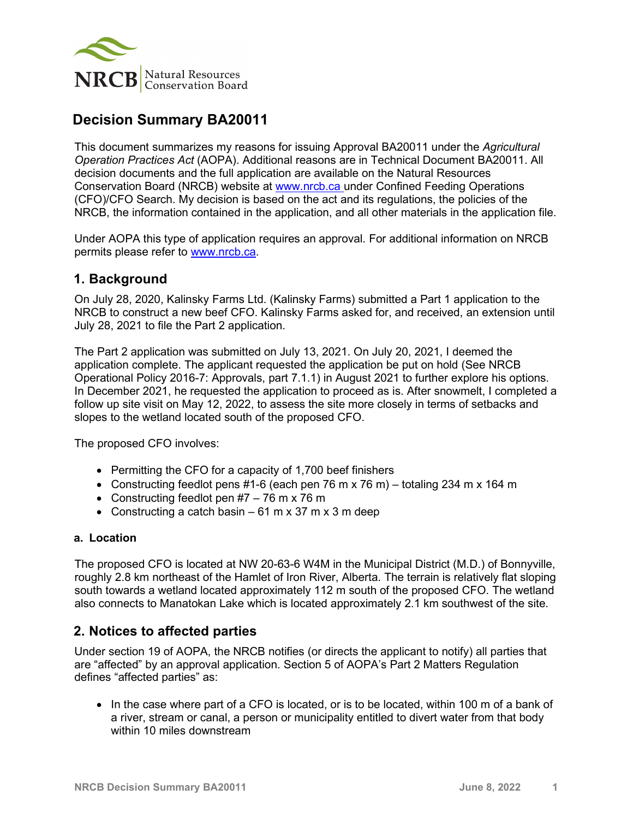

# **Decision Summary BA20011**

This document summarizes my reasons for issuing Approval BA20011 under the *Agricultural Operation Practices Act* (AOPA). Additional reasons are in Technical Document BA20011. All decision documents and the full application are available on the Natural Resources Conservation Board (NRCB) website at [www.nrcb.ca](http://www.nrcb.ca/) under Confined Feeding Operations (CFO)/CFO Search. My decision is based on the act and its regulations, the policies of the NRCB, the information contained in the application, and all other materials in the application file.

Under AOPA this type of application requires an approval. For additional information on NRCB permits please refer to [www.nrcb.ca.](file://NRCB-File01/nosync/Application%20Form%20Review/Decision%20Summary%20Template%2027%20April%202020/www.nrcb.ca)

## **1. Background**

On July 28, 2020, Kalinsky Farms Ltd. (Kalinsky Farms) submitted a Part 1 application to the NRCB to construct a new beef CFO. Kalinsky Farms asked for, and received, an extension until July 28, 2021 to file the Part 2 application.

The Part 2 application was submitted on July 13, 2021. On July 20, 2021, I deemed the application complete. The applicant requested the application be put on hold (See NRCB Operational Policy 2016-7: Approvals, part 7.1.1) in August 2021 to further explore his options. In December 2021, he requested the application to proceed as is. After snowmelt, I completed a follow up site visit on May 12, 2022, to assess the site more closely in terms of setbacks and slopes to the wetland located south of the proposed CFO.

The proposed CFO involves:

- Permitting the CFO for a capacity of 1,700 beef finishers
- Constructing feedlot pens #1-6 (each pen 76 m x 76 m) totaling 234 m x 164 m
- Constructing feedlot pen  $#7 76$  m x 76 m
- Constructing a catch basin  $-61$  m x 37 m x 3 m deep

#### **a. Location**

The proposed CFO is located at NW 20-63-6 W4M in the Municipal District (M.D.) of Bonnyville, roughly 2.8 km northeast of the Hamlet of Iron River, Alberta. The terrain is relatively flat sloping south towards a wetland located approximately 112 m south of the proposed CFO. The wetland also connects to Manatokan Lake which is located approximately 2.1 km southwest of the site.

# **2. Notices to affected parties**

Under section 19 of AOPA, the NRCB notifies (or directs the applicant to notify) all parties that are "affected" by an approval application. Section 5 of AOPA's Part 2 Matters Regulation defines "affected parties" as:

• In the case where part of a CFO is located, or is to be located, within 100 m of a bank of a river, stream or canal, a person or municipality entitled to divert water from that body within 10 miles downstream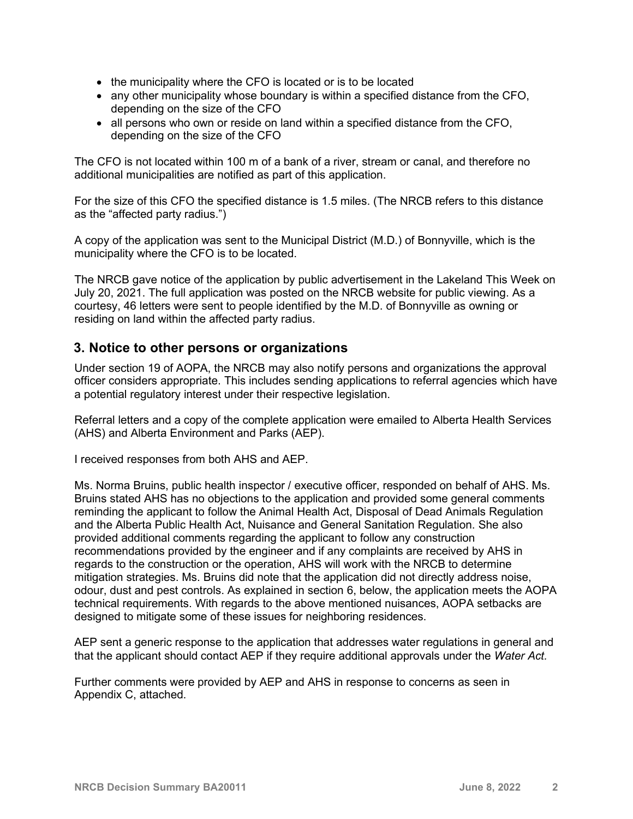- the municipality where the CFO is located or is to be located
- any other municipality whose boundary is within a specified distance from the CFO, depending on the size of the CFO
- all persons who own or reside on land within a specified distance from the CFO, depending on the size of the CFO

The CFO is not located within 100 m of a bank of a river, stream or canal, and therefore no additional municipalities are notified as part of this application.

For the size of this CFO the specified distance is 1.5 miles. (The NRCB refers to this distance as the "affected party radius.")

A copy of the application was sent to the Municipal District (M.D.) of Bonnyville, which is the municipality where the CFO is to be located.

The NRCB gave notice of the application by public advertisement in the Lakeland This Week on July 20, 2021. The full application was posted on the NRCB website for public viewing. As a courtesy, 46 letters were sent to people identified by the M.D. of Bonnyville as owning or residing on land within the affected party radius.

# **3. Notice to other persons or organizations**

Under section 19 of AOPA, the NRCB may also notify persons and organizations the approval officer considers appropriate. This includes sending applications to referral agencies which have a potential regulatory interest under their respective legislation.

Referral letters and a copy of the complete application were emailed to Alberta Health Services (AHS) and Alberta Environment and Parks (AEP).

I received responses from both AHS and AEP.

Ms. Norma Bruins, public health inspector / executive officer, responded on behalf of AHS. Ms. Bruins stated AHS has no objections to the application and provided some general comments reminding the applicant to follow the Animal Health Act, Disposal of Dead Animals Regulation and the Alberta Public Health Act, Nuisance and General Sanitation Regulation. She also provided additional comments regarding the applicant to follow any construction recommendations provided by the engineer and if any complaints are received by AHS in regards to the construction or the operation, AHS will work with the NRCB to determine mitigation strategies. Ms. Bruins did note that the application did not directly address noise, odour, dust and pest controls. As explained in section 6, below, the application meets the AOPA technical requirements. With regards to the above mentioned nuisances, AOPA setbacks are designed to mitigate some of these issues for neighboring residences.

AEP sent a generic response to the application that addresses water regulations in general and that the applicant should contact AEP if they require additional approvals under the *Water Act.*

Further comments were provided by AEP and AHS in response to concerns as seen in Appendix C, attached.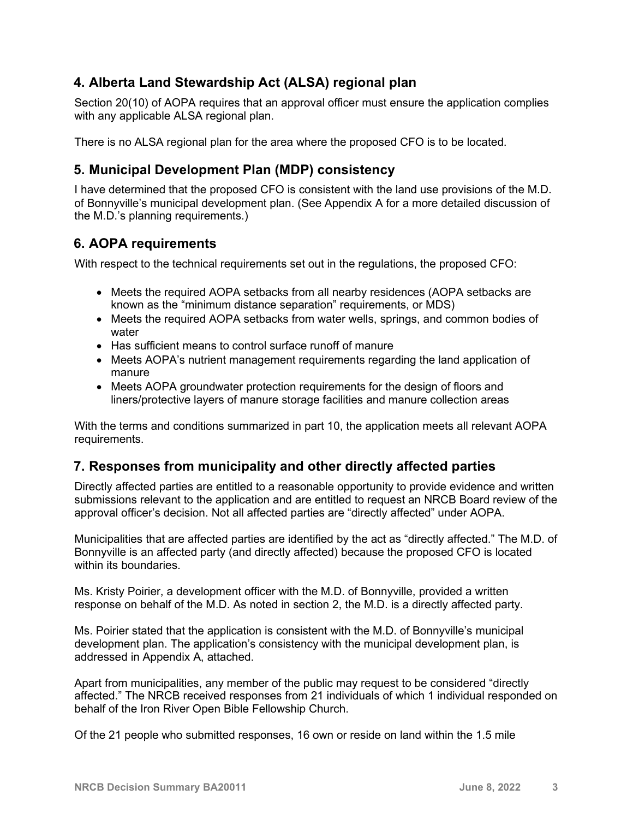# **4. Alberta Land Stewardship Act (ALSA) regional plan**

Section 20(10) of AOPA requires that an approval officer must ensure the application complies with any applicable ALSA regional plan.

There is no ALSA regional plan for the area where the proposed CFO is to be located.

# **5. Municipal Development Plan (MDP) consistency**

I have determined that the proposed CFO is consistent with the land use provisions of the M.D. of Bonnyville's municipal development plan. (See Appendix A for a more detailed discussion of the M.D.'s planning requirements.)

# **6. AOPA requirements**

With respect to the technical requirements set out in the regulations, the proposed CFO:

- Meets the required AOPA setbacks from all nearby residences (AOPA setbacks are known as the "minimum distance separation" requirements, or MDS)
- Meets the required AOPA setbacks from water wells, springs, and common bodies of water
- Has sufficient means to control surface runoff of manure
- Meets AOPA's nutrient management requirements regarding the land application of manure
- Meets AOPA groundwater protection requirements for the design of floors and liners/protective layers of manure storage facilities and manure collection areas

With the terms and conditions summarized in part 10, the application meets all relevant AOPA requirements.

# **7. Responses from municipality and other directly affected parties**

Directly affected parties are entitled to a reasonable opportunity to provide evidence and written submissions relevant to the application and are entitled to request an NRCB Board review of the approval officer's decision. Not all affected parties are "directly affected" under AOPA.

Municipalities that are affected parties are identified by the act as "directly affected." The M.D. of Bonnyville is an affected party (and directly affected) because the proposed CFO is located within its boundaries.

Ms. Kristy Poirier, a development officer with the M.D. of Bonnyville, provided a written response on behalf of the M.D. As noted in section 2, the M.D. is a directly affected party.

Ms. Poirier stated that the application is consistent with the M.D. of Bonnyville's municipal development plan. The application's consistency with the municipal development plan, is addressed in Appendix A, attached.

Apart from municipalities, any member of the public may request to be considered "directly affected." The NRCB received responses from 21 individuals of which 1 individual responded on behalf of the Iron River Open Bible Fellowship Church.

Of the 21 people who submitted responses, 16 own or reside on land within the 1.5 mile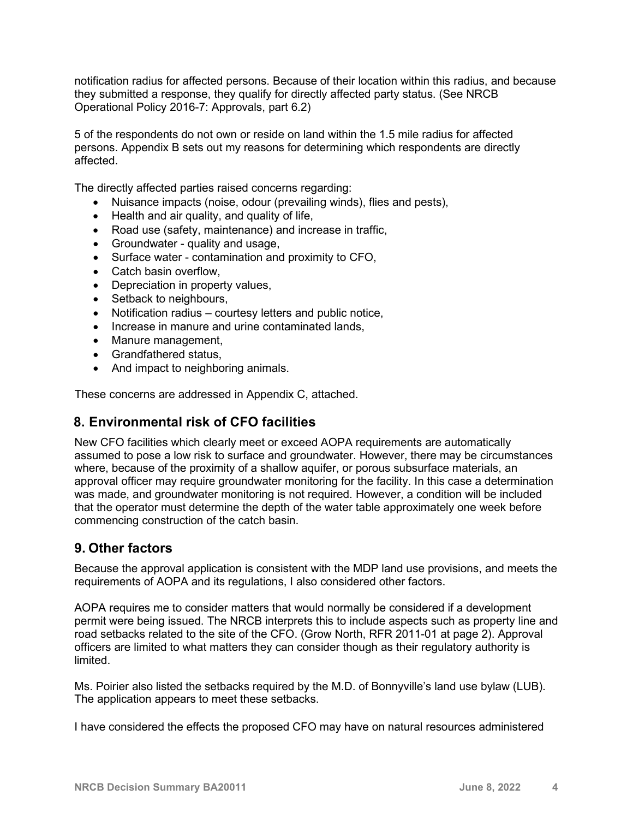notification radius for affected persons. Because of their location within this radius, and because they submitted a response, they qualify for directly affected party status. (See NRCB Operational Policy 2016-7: Approvals, part 6.2)

5 of the respondents do not own or reside on land within the 1.5 mile radius for affected persons. Appendix B sets out my reasons for determining which respondents are directly affected.

The directly affected parties raised concerns regarding:

- Nuisance impacts (noise, odour (prevailing winds), flies and pests),
- Health and air quality, and quality of life,
- Road use (safety, maintenance) and increase in traffic,
- Groundwater quality and usage,
- Surface water contamination and proximity to CFO,
- Catch basin overflow,
- Depreciation in property values,
- Setback to neighbours,
- Notification radius courtesy letters and public notice,
- Increase in manure and urine contaminated lands.
- Manure management,
- Grandfathered status,
- And impact to neighboring animals.

These concerns are addressed in Appendix C, attached.

## **8. Environmental risk of CFO facilities**

New CFO facilities which clearly meet or exceed AOPA requirements are automatically assumed to pose a low risk to surface and groundwater. However, there may be circumstances where, because of the proximity of a shallow aquifer, or porous subsurface materials, an approval officer may require groundwater monitoring for the facility. In this case a determination was made, and groundwater monitoring is not required. However, a condition will be included that the operator must determine the depth of the water table approximately one week before commencing construction of the catch basin.

## **9. Other factors**

Because the approval application is consistent with the MDP land use provisions, and meets the requirements of AOPA and its regulations, I also considered other factors.

AOPA requires me to consider matters that would normally be considered if a development permit were being issued. The NRCB interprets this to include aspects such as property line and road setbacks related to the site of the CFO. (Grow North, RFR 2011-01 at page 2). Approval officers are limited to what matters they can consider though as their regulatory authority is limited.

Ms. Poirier also listed the setbacks required by the M.D. of Bonnyville's land use bylaw (LUB). The application appears to meet these setbacks.

I have considered the effects the proposed CFO may have on natural resources administered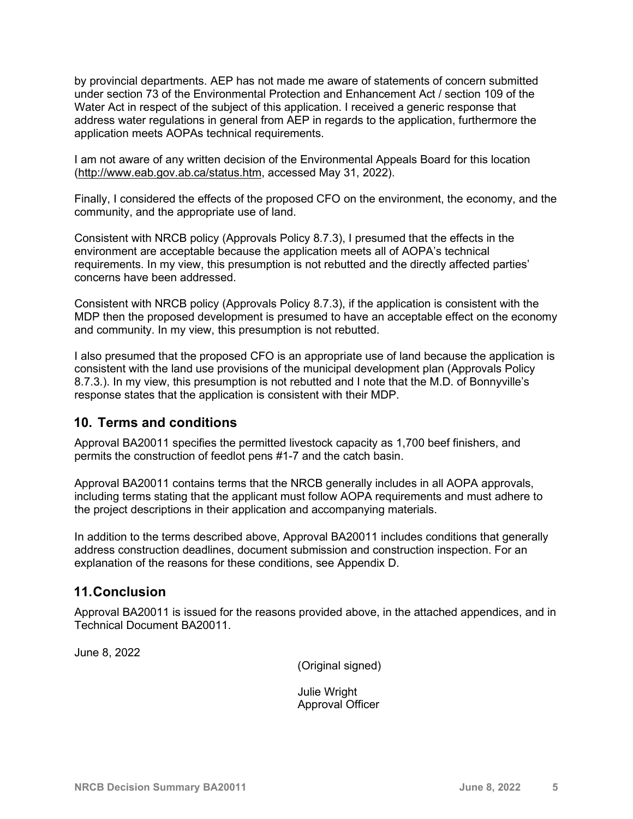by provincial departments. AEP has not made me aware of statements of concern submitted under section 73 of the Environmental Protection and Enhancement Act / section 109 of the Water Act in respect of the subject of this application. I received a generic response that address water regulations in general from AEP in regards to the application, furthermore the application meets AOPAs technical requirements.

I am not aware of any written decision of the Environmental Appeals Board for this location [\(http://www.eab.gov.ab.ca/status.htm,](http://www.eab.gov.ab.ca/status.htm) accessed May 31, 2022).

Finally, I considered the effects of the proposed CFO on the environment, the economy, and the community, and the appropriate use of land.

Consistent with NRCB policy (Approvals Policy 8.7.3), I presumed that the effects in the environment are acceptable because the application meets all of AOPA's technical requirements. In my view, this presumption is not rebutted and the directly affected parties' concerns have been addressed.

Consistent with NRCB policy (Approvals Policy 8.7.3), if the application is consistent with the MDP then the proposed development is presumed to have an acceptable effect on the economy and community. In my view, this presumption is not rebutted.

I also presumed that the proposed CFO is an appropriate use of land because the application is consistent with the land use provisions of the municipal development plan (Approvals Policy 8.7.3.). In my view, this presumption is not rebutted and I note that the M.D. of Bonnyville's response states that the application is consistent with their MDP.

# **10. Terms and conditions**

Approval BA20011 specifies the permitted livestock capacity as 1,700 beef finishers, and permits the construction of feedlot pens #1-7 and the catch basin.

Approval BA20011 contains terms that the NRCB generally includes in all AOPA approvals, including terms stating that the applicant must follow AOPA requirements and must adhere to the project descriptions in their application and accompanying materials.

In addition to the terms described above, Approval BA20011 includes conditions that generally address construction deadlines, document submission and construction inspection. For an explanation of the reasons for these conditions, see Appendix D.

## **11.Conclusion**

Approval BA20011 is issued for the reasons provided above, in the attached appendices, and in Technical Document BA20011.

June 8, 2022

(Original signed)

Julie Wright Approval Officer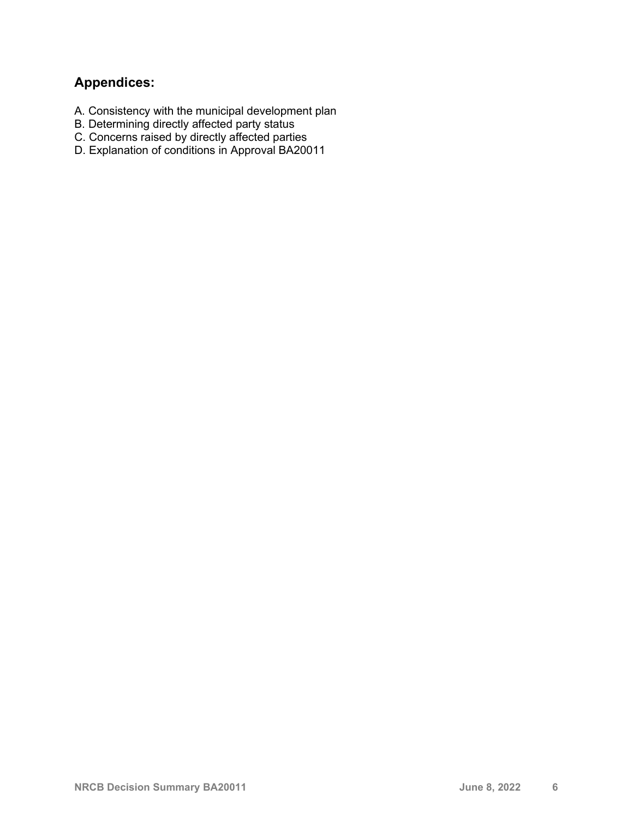# **Appendices:**

- A. Consistency with the municipal development plan
- B. Determining directly affected party status
- C. Concerns raised by directly affected parties
- D. Explanation of conditions in Approval BA20011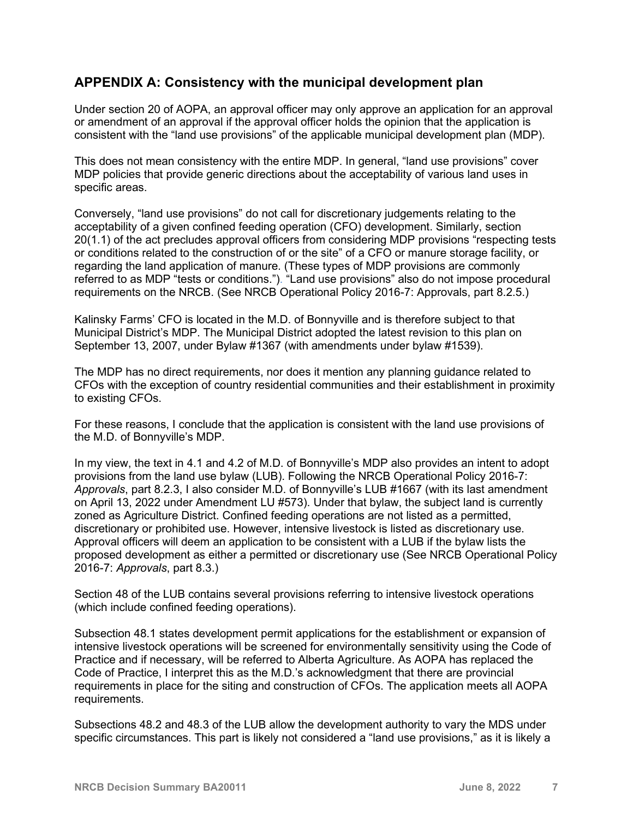# **APPENDIX A: Consistency with the municipal development plan**

Under section 20 of AOPA, an approval officer may only approve an application for an approval or amendment of an approval if the approval officer holds the opinion that the application is consistent with the "land use provisions" of the applicable municipal development plan (MDP).

This does not mean consistency with the entire MDP. In general, "land use provisions" cover MDP policies that provide generic directions about the acceptability of various land uses in specific areas.

Conversely, "land use provisions" do not call for discretionary judgements relating to the acceptability of a given confined feeding operation (CFO) development. Similarly, section 20(1.1) of the act precludes approval officers from considering MDP provisions "respecting tests or conditions related to the construction of or the site" of a CFO or manure storage facility, or regarding the land application of manure. (These types of MDP provisions are commonly referred to as MDP "tests or conditions."). "Land use provisions" also do not impose procedural requirements on the NRCB. (See NRCB Operational Policy 2016-7: Approvals, part 8.2.5.)

Kalinsky Farms' CFO is located in the M.D. of Bonnyville and is therefore subject to that Municipal District's MDP. The Municipal District adopted the latest revision to this plan on September 13, 2007, under Bylaw #1367 (with amendments under bylaw #1539).

The MDP has no direct requirements, nor does it mention any planning guidance related to CFOs with the exception of country residential communities and their establishment in proximity to existing CFOs.

For these reasons, I conclude that the application is consistent with the land use provisions of the M.D. of Bonnyville's MDP.

In my view, the text in 4.1 and 4.2 of M.D. of Bonnyville's MDP also provides an intent to adopt provisions from the land use bylaw (LUB). Following the NRCB Operational Policy 2016-7: *Approvals*, part 8.2.3, I also consider M.D. of Bonnyville's LUB #1667 (with its last amendment on April 13, 2022 under Amendment LU #573). Under that bylaw, the subject land is currently zoned as Agriculture District. Confined feeding operations are not listed as a permitted, discretionary or prohibited use. However, intensive livestock is listed as discretionary use. Approval officers will deem an application to be consistent with a LUB if the bylaw lists the proposed development as either a permitted or discretionary use (See NRCB Operational Policy 2016-7: *Approvals*, part 8.3.)

Section 48 of the LUB contains several provisions referring to intensive livestock operations (which include confined feeding operations).

Subsection 48.1 states development permit applications for the establishment or expansion of intensive livestock operations will be screened for environmentally sensitivity using the Code of Practice and if necessary, will be referred to Alberta Agriculture. As AOPA has replaced the Code of Practice, I interpret this as the M.D.'s acknowledgment that there are provincial requirements in place for the siting and construction of CFOs. The application meets all AOPA requirements.

Subsections 48.2 and 48.3 of the LUB allow the development authority to vary the MDS under specific circumstances. This part is likely not considered a "land use provisions," as it is likely a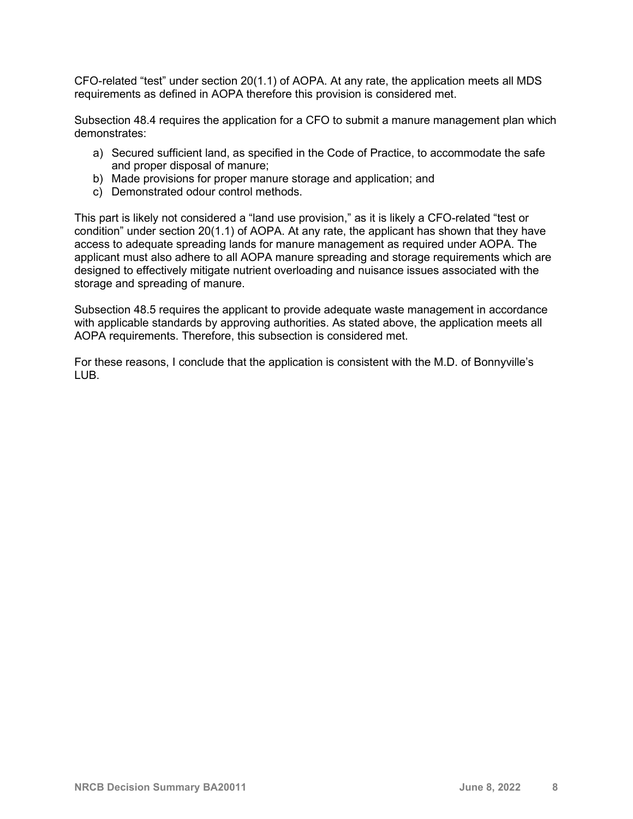CFO-related "test" under section 20(1.1) of AOPA. At any rate, the application meets all MDS requirements as defined in AOPA therefore this provision is considered met.

Subsection 48.4 requires the application for a CFO to submit a manure management plan which demonstrates:

- a) Secured sufficient land, as specified in the Code of Practice, to accommodate the safe and proper disposal of manure;
- b) Made provisions for proper manure storage and application; and
- c) Demonstrated odour control methods.

This part is likely not considered a "land use provision," as it is likely a CFO-related "test or condition" under section 20(1.1) of AOPA. At any rate, the applicant has shown that they have access to adequate spreading lands for manure management as required under AOPA. The applicant must also adhere to all AOPA manure spreading and storage requirements which are designed to effectively mitigate nutrient overloading and nuisance issues associated with the storage and spreading of manure.

Subsection 48.5 requires the applicant to provide adequate waste management in accordance with applicable standards by approving authorities. As stated above, the application meets all AOPA requirements. Therefore, this subsection is considered met.

For these reasons, I conclude that the application is consistent with the M.D. of Bonnyville's LUB.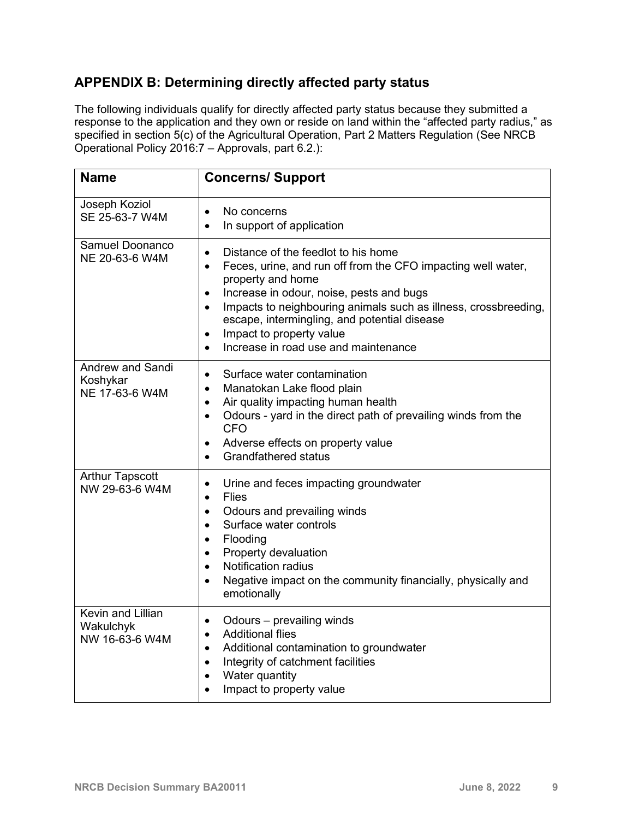# **APPENDIX B: Determining directly affected party status**

The following individuals qualify for directly affected party status because they submitted a response to the application and they own or reside on land within the "affected party radius," as specified in section 5(c) of the Agricultural Operation, Part 2 Matters Regulation (See NRCB Operational Policy 2016:7 – Approvals, part 6.2.):

| <b>Name</b>                                           | <b>Concerns/Support</b>                                                                                                                                                                                                                                                                                                                                                                                                                   |
|-------------------------------------------------------|-------------------------------------------------------------------------------------------------------------------------------------------------------------------------------------------------------------------------------------------------------------------------------------------------------------------------------------------------------------------------------------------------------------------------------------------|
| Joseph Koziol<br>SE 25-63-7 W4M                       | No concerns<br>$\bullet$<br>In support of application<br>$\bullet$                                                                                                                                                                                                                                                                                                                                                                        |
| Samuel Doonanco<br>NE 20-63-6 W4M                     | Distance of the feedlot to his home<br>$\bullet$<br>Feces, urine, and run off from the CFO impacting well water,<br>$\bullet$<br>property and home<br>Increase in odour, noise, pests and bugs<br>$\bullet$<br>Impacts to neighbouring animals such as illness, crossbreeding,<br>$\bullet$<br>escape, intermingling, and potential disease<br>Impact to property value<br>$\bullet$<br>Increase in road use and maintenance<br>$\bullet$ |
| <b>Andrew and Sandi</b><br>Koshykar<br>NE 17-63-6 W4M | Surface water contamination<br>$\bullet$<br>Manatokan Lake flood plain<br>$\bullet$<br>Air quality impacting human health<br>$\bullet$<br>Odours - yard in the direct path of prevailing winds from the<br>$\bullet$<br><b>CFO</b><br>Adverse effects on property value<br>$\bullet$<br><b>Grandfathered status</b><br>$\bullet$                                                                                                          |
| <b>Arthur Tapscott</b><br>NW 29-63-6 W4M              | Urine and feces impacting groundwater<br>$\bullet$<br><b>Flies</b><br>$\bullet$<br>Odours and prevailing winds<br>$\bullet$<br>Surface water controls<br>$\bullet$<br>Flooding<br>$\bullet$<br>Property devaluation<br>$\bullet$<br><b>Notification radius</b><br>$\bullet$<br>Negative impact on the community financially, physically and<br>$\bullet$<br>emotionally                                                                   |
| Kevin and Lillian<br>Wakulchyk<br>NW 16-63-6 W4M      | Odours - prevailing winds<br>$\bullet$<br><b>Additional flies</b><br>$\bullet$<br>Additional contamination to groundwater<br>$\bullet$<br>Integrity of catchment facilities<br>$\bullet$<br>Water quantity<br>$\bullet$<br>Impact to property value<br>$\bullet$                                                                                                                                                                          |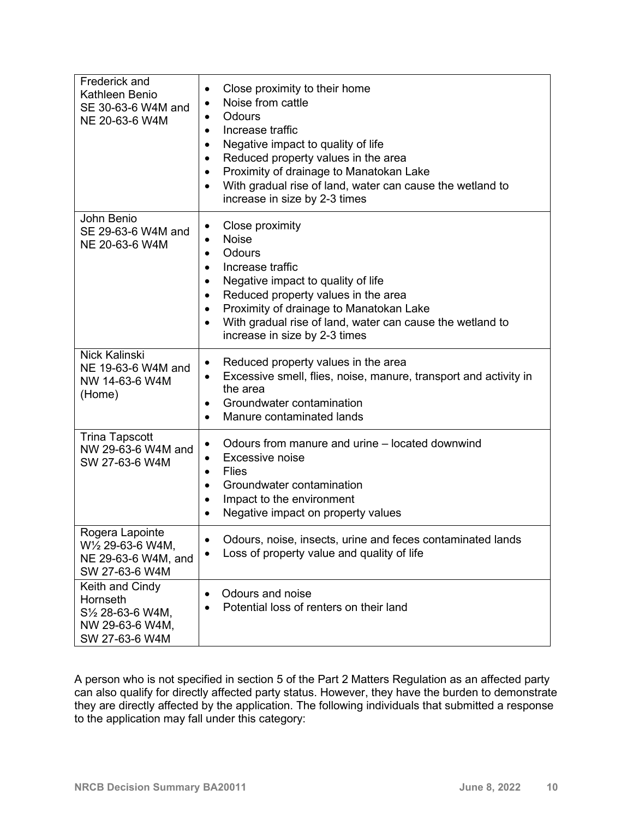| Frederick and<br>Kathleen Benio<br>SE 30-63-6 W4M and<br>NE 20-63-6 W4M                                        | Close proximity to their home<br>$\bullet$<br>Noise from cattle<br>$\bullet$<br>Odours<br>$\bullet$<br>Increase traffic<br>Negative impact to quality of life<br>٠<br>Reduced property values in the area<br>$\bullet$<br>Proximity of drainage to Manatokan Lake<br>$\bullet$<br>With gradual rise of land, water can cause the wetland to<br>$\bullet$<br>increase in size by 2-3 times |
|----------------------------------------------------------------------------------------------------------------|-------------------------------------------------------------------------------------------------------------------------------------------------------------------------------------------------------------------------------------------------------------------------------------------------------------------------------------------------------------------------------------------|
| John Benio<br>SE 29-63-6 W4M and<br>NE 20-63-6 W4M                                                             | Close proximity<br>٠<br><b>Noise</b><br>$\bullet$<br>Odours<br>$\bullet$<br>Increase traffic<br>Negative impact to quality of life<br>٠<br>Reduced property values in the area<br>$\bullet$<br>Proximity of drainage to Manatokan Lake<br>$\bullet$<br>With gradual rise of land, water can cause the wetland to<br>$\bullet$<br>increase in size by 2-3 times                            |
| <b>Nick Kalinski</b><br>NE 19-63-6 W4M and<br>NW 14-63-6 W4M<br>(Home)                                         | Reduced property values in the area<br>$\bullet$<br>Excessive smell, flies, noise, manure, transport and activity in<br>$\bullet$<br>the area<br>Groundwater contamination<br>Manure contaminated lands<br>$\bullet$                                                                                                                                                                      |
| <b>Trina Tapscott</b><br>NW 29-63-6 W4M and<br>SW 27-63-6 W4M                                                  | Odours from manure and urine – located downwind<br>$\bullet$<br>Excessive noise<br>٠<br><b>Flies</b><br>$\bullet$<br>Groundwater contamination<br>$\bullet$<br>Impact to the environment<br>$\bullet$<br>Negative impact on property values<br>$\bullet$                                                                                                                                  |
| Rogera Lapointe<br>W <sup>1</sup> / <sub>2</sub> 29-63-6 W4M,<br>NE 29-63-6 W4M, and<br>SW 27-63-6 W4M         | Odours, noise, insects, urine and feces contaminated lands<br>٠<br>Loss of property value and quality of life<br>$\bullet$                                                                                                                                                                                                                                                                |
| Keith and Cindy<br>Hornseth<br>S <sup>1</sup> / <sub>2</sub> 28-63-6 W4M,<br>NW 29-63-6 W4M,<br>SW 27-63-6 W4M | Odours and noise<br>٠<br>Potential loss of renters on their land                                                                                                                                                                                                                                                                                                                          |

A person who is not specified in section 5 of the Part 2 Matters Regulation as an affected party can also qualify for directly affected party status. However, they have the burden to demonstrate they are directly affected by the application. The following individuals that submitted a response to the application may fall under this category: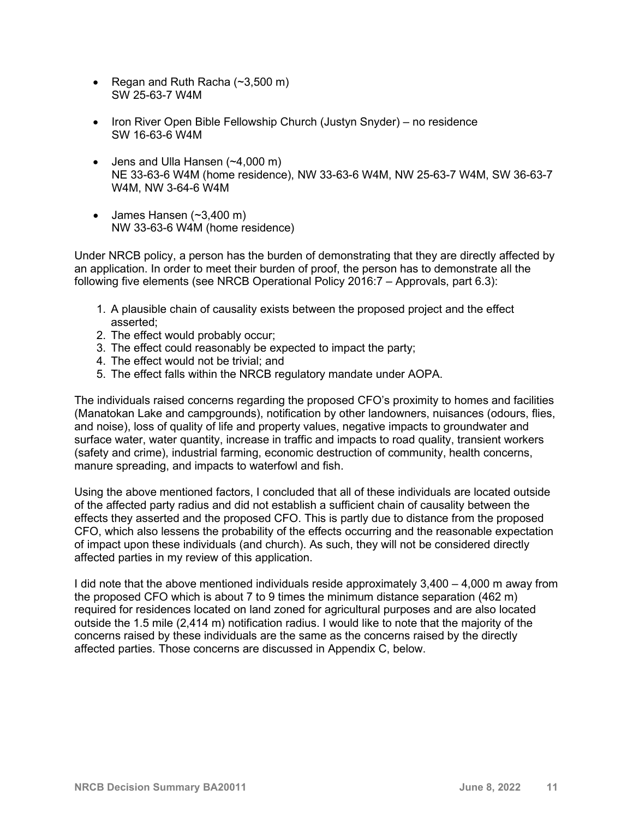- Regan and Ruth Racha  $(\sim 3,500 \text{ m})$ SW 25-63-7 W4M
- Iron River Open Bible Fellowship Church (Justyn Snyder) no residence SW 16-63-6 W4M
- Jens and Ulla Hansen (~4,000 m) NE 33-63-6 W4M (home residence), NW 33-63-6 W4M, NW 25-63-7 W4M, SW 36-63-7 W4M, NW 3-64-6 W4M
- James Hansen  $(-3,400 \text{ m})$ NW 33-63-6 W4M (home residence)

Under NRCB policy, a person has the burden of demonstrating that they are directly affected by an application. In order to meet their burden of proof, the person has to demonstrate all the following five elements (see NRCB Operational Policy 2016:7 – Approvals, part 6.3):

- 1. A plausible chain of causality exists between the proposed project and the effect asserted;
- 2. The effect would probably occur;
- 3. The effect could reasonably be expected to impact the party;
- 4. The effect would not be trivial; and
- 5. The effect falls within the NRCB regulatory mandate under AOPA.

The individuals raised concerns regarding the proposed CFO's proximity to homes and facilities (Manatokan Lake and campgrounds), notification by other landowners, nuisances (odours, flies, and noise), loss of quality of life and property values, negative impacts to groundwater and surface water, water quantity, increase in traffic and impacts to road quality, transient workers (safety and crime), industrial farming, economic destruction of community, health concerns, manure spreading, and impacts to waterfowl and fish.

Using the above mentioned factors, I concluded that all of these individuals are located outside of the affected party radius and did not establish a sufficient chain of causality between the effects they asserted and the proposed CFO. This is partly due to distance from the proposed CFO, which also lessens the probability of the effects occurring and the reasonable expectation of impact upon these individuals (and church). As such, they will not be considered directly affected parties in my review of this application.

I did note that the above mentioned individuals reside approximately 3,400 – 4,000 m away from the proposed CFO which is about 7 to 9 times the minimum distance separation (462 m) required for residences located on land zoned for agricultural purposes and are also located outside the 1.5 mile (2,414 m) notification radius. I would like to note that the majority of the concerns raised by these individuals are the same as the concerns raised by the directly affected parties. Those concerns are discussed in Appendix C, below.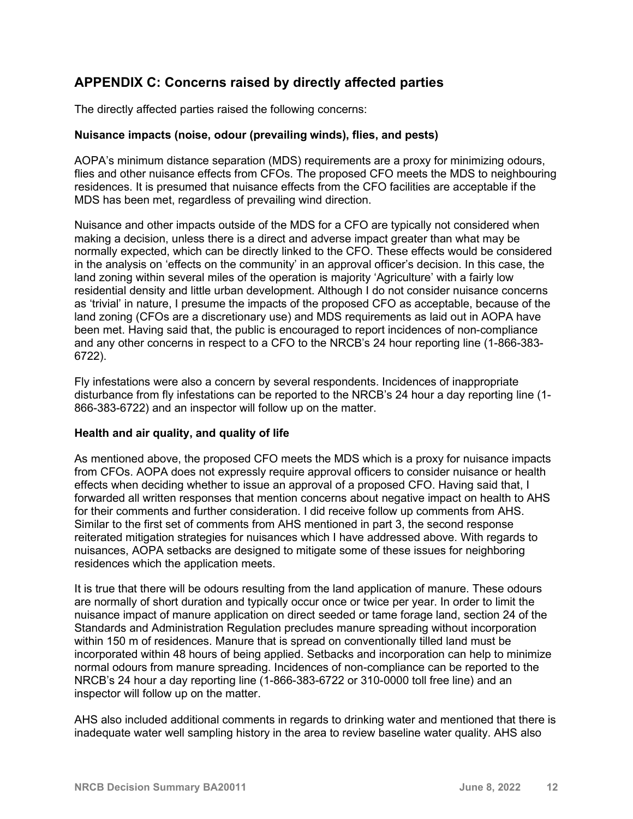# **APPENDIX C: Concerns raised by directly affected parties**

The directly affected parties raised the following concerns:

## **Nuisance impacts (noise, odour (prevailing winds), flies, and pests)**

AOPA's minimum distance separation (MDS) requirements are a proxy for minimizing odours, flies and other nuisance effects from CFOs. The proposed CFO meets the MDS to neighbouring residences. It is presumed that nuisance effects from the CFO facilities are acceptable if the MDS has been met, regardless of prevailing wind direction.

Nuisance and other impacts outside of the MDS for a CFO are typically not considered when making a decision, unless there is a direct and adverse impact greater than what may be normally expected, which can be directly linked to the CFO. These effects would be considered in the analysis on 'effects on the community' in an approval officer's decision. In this case, the land zoning within several miles of the operation is majority 'Agriculture' with a fairly low residential density and little urban development. Although I do not consider nuisance concerns as 'trivial' in nature, I presume the impacts of the proposed CFO as acceptable, because of the land zoning (CFOs are a discretionary use) and MDS requirements as laid out in AOPA have been met. Having said that, the public is encouraged to report incidences of non-compliance and any other concerns in respect to a CFO to the NRCB's 24 hour reporting line (1-866-383- 6722).

Fly infestations were also a concern by several respondents. Incidences of inappropriate disturbance from fly infestations can be reported to the NRCB's 24 hour a day reporting line (1- 866-383-6722) and an inspector will follow up on the matter.

#### **Health and air quality, and quality of life**

As mentioned above, the proposed CFO meets the MDS which is a proxy for nuisance impacts from CFOs. AOPA does not expressly require approval officers to consider nuisance or health effects when deciding whether to issue an approval of a proposed CFO. Having said that, I forwarded all written responses that mention concerns about negative impact on health to AHS for their comments and further consideration. I did receive follow up comments from AHS. Similar to the first set of comments from AHS mentioned in part 3, the second response reiterated mitigation strategies for nuisances which I have addressed above. With regards to nuisances, AOPA setbacks are designed to mitigate some of these issues for neighboring residences which the application meets.

It is true that there will be odours resulting from the land application of manure. These odours are normally of short duration and typically occur once or twice per year. In order to limit the nuisance impact of manure application on direct seeded or tame forage land, section 24 of the Standards and Administration Regulation precludes manure spreading without incorporation within 150 m of residences. Manure that is spread on conventionally tilled land must be incorporated within 48 hours of being applied. Setbacks and incorporation can help to minimize normal odours from manure spreading. Incidences of non-compliance can be reported to the NRCB's 24 hour a day reporting line (1-866-383-6722 or 310-0000 toll free line) and an inspector will follow up on the matter.

AHS also included additional comments in regards to drinking water and mentioned that there is inadequate water well sampling history in the area to review baseline water quality. AHS also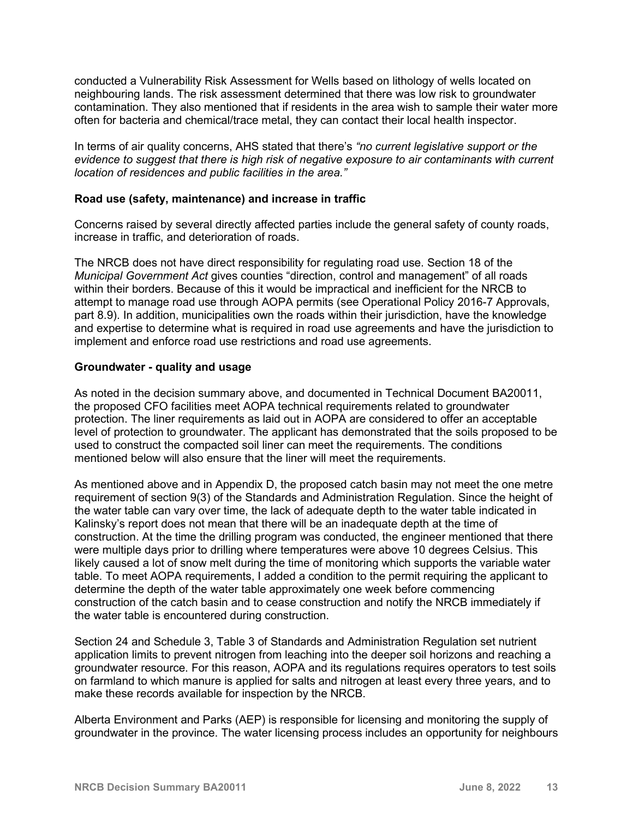conducted a Vulnerability Risk Assessment for Wells based on lithology of wells located on neighbouring lands. The risk assessment determined that there was low risk to groundwater contamination. They also mentioned that if residents in the area wish to sample their water more often for bacteria and chemical/trace metal, they can contact their local health inspector.

In terms of air quality concerns, AHS stated that there's *"no current legislative support or the evidence to suggest that there is high risk of negative exposure to air contaminants with current location of residences and public facilities in the area."*

### **Road use (safety, maintenance) and increase in traffic**

Concerns raised by several directly affected parties include the general safety of county roads, increase in traffic, and deterioration of roads.

The NRCB does not have direct responsibility for regulating road use. Section 18 of the *Municipal Government Act* gives counties "direction, control and management" of all roads within their borders. Because of this it would be impractical and inefficient for the NRCB to attempt to manage road use through AOPA permits (see Operational Policy 2016-7 Approvals, part 8.9). In addition, municipalities own the roads within their jurisdiction, have the knowledge and expertise to determine what is required in road use agreements and have the jurisdiction to implement and enforce road use restrictions and road use agreements.

#### **Groundwater - quality and usage**

As noted in the decision summary above, and documented in Technical Document BA20011, the proposed CFO facilities meet AOPA technical requirements related to groundwater protection. The liner requirements as laid out in AOPA are considered to offer an acceptable level of protection to groundwater. The applicant has demonstrated that the soils proposed to be used to construct the compacted soil liner can meet the requirements. The conditions mentioned below will also ensure that the liner will meet the requirements.

As mentioned above and in Appendix D, the proposed catch basin may not meet the one metre requirement of section 9(3) of the Standards and Administration Regulation. Since the height of the water table can vary over time, the lack of adequate depth to the water table indicated in Kalinsky's report does not mean that there will be an inadequate depth at the time of construction. At the time the drilling program was conducted, the engineer mentioned that there were multiple days prior to drilling where temperatures were above 10 degrees Celsius. This likely caused a lot of snow melt during the time of monitoring which supports the variable water table. To meet AOPA requirements, I added a condition to the permit requiring the applicant to determine the depth of the water table approximately one week before commencing construction of the catch basin and to cease construction and notify the NRCB immediately if the water table is encountered during construction.

Section 24 and Schedule 3, Table 3 of Standards and Administration Regulation set nutrient application limits to prevent nitrogen from leaching into the deeper soil horizons and reaching a groundwater resource. For this reason, AOPA and its regulations requires operators to test soils on farmland to which manure is applied for salts and nitrogen at least every three years, and to make these records available for inspection by the NRCB.

Alberta Environment and Parks (AEP) is responsible for licensing and monitoring the supply of groundwater in the province. The water licensing process includes an opportunity for neighbours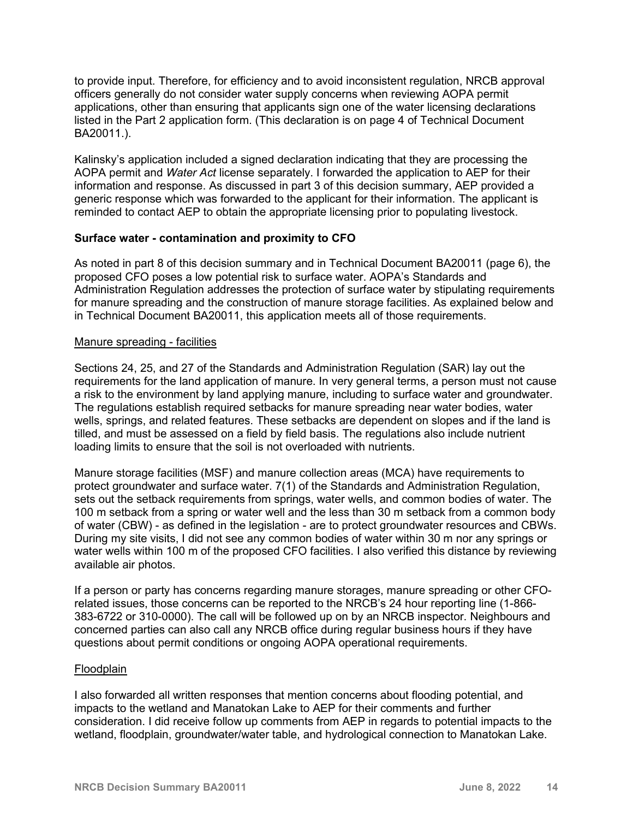to provide input. Therefore, for efficiency and to avoid inconsistent regulation, NRCB approval officers generally do not consider water supply concerns when reviewing AOPA permit applications, other than ensuring that applicants sign one of the water licensing declarations listed in the Part 2 application form. (This declaration is on page 4 of Technical Document BA20011.).

Kalinsky's application included a signed declaration indicating that they are processing the AOPA permit and *Water Act* license separately. I forwarded the application to AEP for their information and response. As discussed in part 3 of this decision summary, AEP provided a generic response which was forwarded to the applicant for their information. The applicant is reminded to contact AEP to obtain the appropriate licensing prior to populating livestock.

#### **Surface water - contamination and proximity to CFO**

As noted in part 8 of this decision summary and in Technical Document BA20011 (page 6), the proposed CFO poses a low potential risk to surface water. AOPA's Standards and Administration Regulation addresses the protection of surface water by stipulating requirements for manure spreading and the construction of manure storage facilities. As explained below and in Technical Document BA20011, this application meets all of those requirements.

#### Manure spreading - facilities

Sections 24, 25, and 27 of the Standards and Administration Regulation (SAR) lay out the requirements for the land application of manure. In very general terms, a person must not cause a risk to the environment by land applying manure, including to surface water and groundwater. The regulations establish required setbacks for manure spreading near water bodies, water wells, springs, and related features. These setbacks are dependent on slopes and if the land is tilled, and must be assessed on a field by field basis. The regulations also include nutrient loading limits to ensure that the soil is not overloaded with nutrients.

Manure storage facilities (MSF) and manure collection areas (MCA) have requirements to protect groundwater and surface water. 7(1) of the Standards and Administration Regulation, sets out the setback requirements from springs, water wells, and common bodies of water. The 100 m setback from a spring or water well and the less than 30 m setback from a common body of water (CBW) - as defined in the legislation - are to protect groundwater resources and CBWs. During my site visits, I did not see any common bodies of water within 30 m nor any springs or water wells within 100 m of the proposed CFO facilities. I also verified this distance by reviewing available air photos.

If a person or party has concerns regarding manure storages, manure spreading or other CFOrelated issues, those concerns can be reported to the NRCB's 24 hour reporting line (1-866- 383-6722 or 310-0000). The call will be followed up on by an NRCB inspector. Neighbours and concerned parties can also call any NRCB office during regular business hours if they have questions about permit conditions or ongoing AOPA operational requirements.

#### **Floodplain**

I also forwarded all written responses that mention concerns about flooding potential, and impacts to the wetland and Manatokan Lake to AEP for their comments and further consideration. I did receive follow up comments from AEP in regards to potential impacts to the wetland, floodplain, groundwater/water table, and hydrological connection to Manatokan Lake.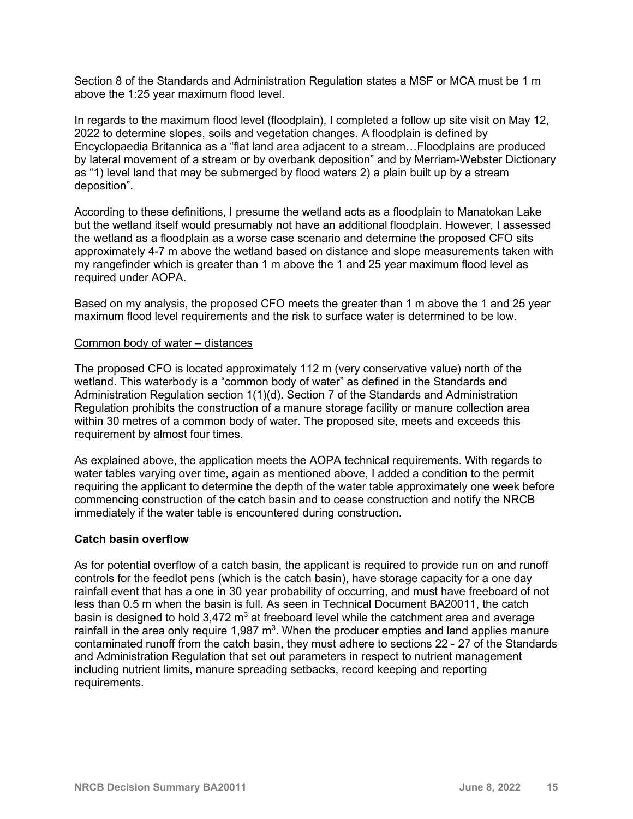Section 8 of the Standards and Administration Regulation states a MSF or MCA must be 1 m above the 1:25 year maximum flood level.

In regards to the maximum flood level (floodplain), I completed a follow up site visit on May 12, 2022 to determine slopes, soils and vegetation changes. A floodplain is defined by Encyclopaedia Britannica as a "flat land area adjacent to a stream…Floodplains are produced by lateral movement of a stream or by overbank deposition" and by Merriam-Webster Dictionary as "1) level land that may be submerged by flood waters 2) a plain built up by a stream deposition".

According to these definitions, I presume the wetland acts as a floodplain to Manatokan Lake but the wetland itself would presumably not have an additional floodplain. However, I assessed the wetland as a floodplain as a worse case scenario and determine the proposed CFO sits approximately 4-7 m above the wetland based on distance and slope measurements taken with my rangefinder which is greater than 1 m above the 1 and 25 year maximum flood level as required under AOPA.

Based on my analysis, the proposed CFO meets the greater than 1 m above the 1 and 25 year maximum flood level requirements and the risk to surface water is determined to be low.

#### Common body of water – distances

The proposed CFO is located approximately 112 m (very conservative value) north of the wetland. This waterbody is a "common body of water" as defined in the Standards and Administration Regulation section 1(1)(d). Section 7 of the Standards and Administration Regulation prohibits the construction of a manure storage facility or manure collection area within 30 metres of a common body of water. The proposed site, meets and exceeds this requirement by almost four times.

As explained above, the application meets the AOPA technical requirements. With regards to water tables varying over time, again as mentioned above, I added a condition to the permit requiring the applicant to determine the depth of the water table approximately one week before commencing construction of the catch basin and to cease construction and notify the NRCB immediately if the water table is encountered during construction.

#### **Catch basin overflow**

As for potential overflow of a catch basin, the applicant is required to provide run on and runoff controls for the feedlot pens (which is the catch basin), have storage capacity for a one day rainfall event that has a one in 30 year probability of occurring, and must have freeboard of not less than 0.5 m when the basin is full. As seen in Technical Document BA20011, the catch basin is designed to hold  $3,472 \text{ m}^3$  at freeboard level while the catchment area and average rainfall in the area only require 1,987  $\textsf{m}^{3}$ . When the producer empties and land applies manure contaminated runoff from the catch basin, they must adhere to sections 22 - 27 of the Standards and Administration Regulation that set out parameters in respect to nutrient management including nutrient limits, manure spreading setbacks, record keeping and reporting requirements.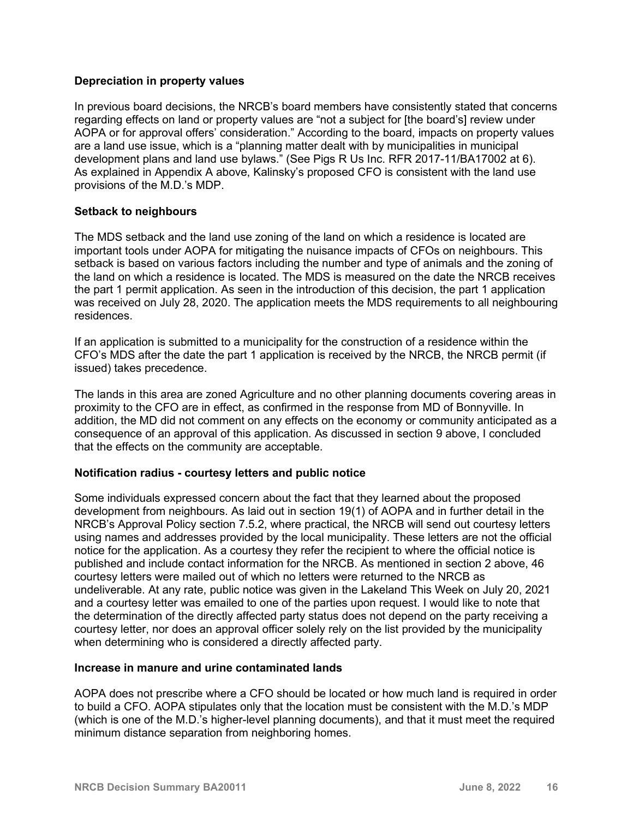## **Depreciation in property values**

In previous board decisions, the NRCB's board members have consistently stated that concerns regarding effects on land or property values are "not a subject for [the board's] review under AOPA or for approval offers' consideration." According to the board, impacts on property values are a land use issue, which is a "planning matter dealt with by municipalities in municipal development plans and land use bylaws." (See Pigs R Us Inc. RFR 2017-11/BA17002 at 6). As explained in Appendix A above, Kalinsky's proposed CFO is consistent with the land use provisions of the M.D.'s MDP.

#### **Setback to neighbours**

The MDS setback and the land use zoning of the land on which a residence is located are important tools under AOPA for mitigating the nuisance impacts of CFOs on neighbours. This setback is based on various factors including the number and type of animals and the zoning of the land on which a residence is located. The MDS is measured on the date the NRCB receives the part 1 permit application. As seen in the introduction of this decision, the part 1 application was received on July 28, 2020. The application meets the MDS requirements to all neighbouring residences.

If an application is submitted to a municipality for the construction of a residence within the CFO's MDS after the date the part 1 application is received by the NRCB, the NRCB permit (if issued) takes precedence.

The lands in this area are zoned Agriculture and no other planning documents covering areas in proximity to the CFO are in effect, as confirmed in the response from MD of Bonnyville. In addition, the MD did not comment on any effects on the economy or community anticipated as a consequence of an approval of this application. As discussed in section 9 above, I concluded that the effects on the community are acceptable.

## **Notification radius - courtesy letters and public notice**

Some individuals expressed concern about the fact that they learned about the proposed development from neighbours. As laid out in section 19(1) of AOPA and in further detail in the NRCB's Approval Policy section 7.5.2, where practical, the NRCB will send out courtesy letters using names and addresses provided by the local municipality. These letters are not the official notice for the application. As a courtesy they refer the recipient to where the official notice is published and include contact information for the NRCB. As mentioned in section 2 above, 46 courtesy letters were mailed out of which no letters were returned to the NRCB as undeliverable. At any rate, public notice was given in the Lakeland This Week on July 20, 2021 and a courtesy letter was emailed to one of the parties upon request. I would like to note that the determination of the directly affected party status does not depend on the party receiving a courtesy letter, nor does an approval officer solely rely on the list provided by the municipality when determining who is considered a directly affected party.

#### **Increase in manure and urine contaminated lands**

AOPA does not prescribe where a CFO should be located or how much land is required in order to build a CFO. AOPA stipulates only that the location must be consistent with the M.D.'s MDP (which is one of the M.D.'s higher-level planning documents), and that it must meet the required minimum distance separation from neighboring homes.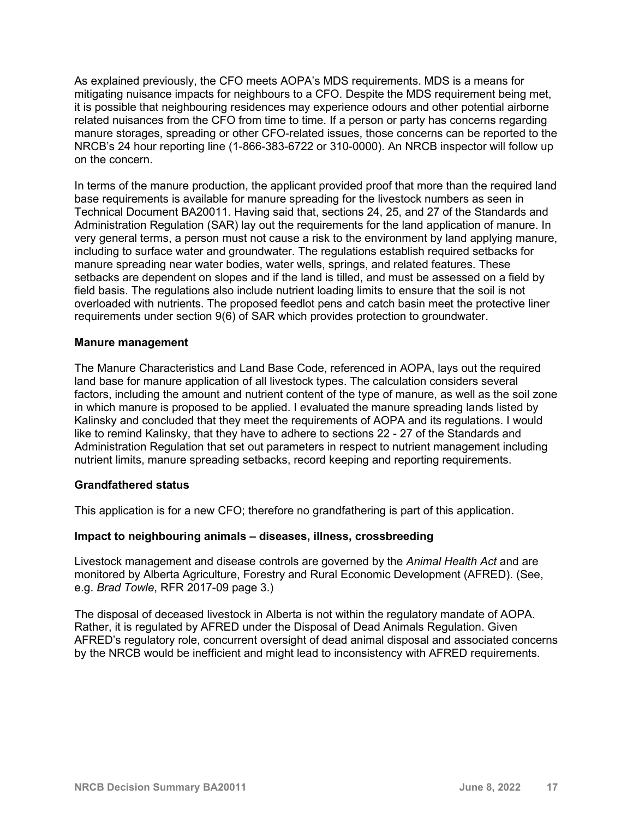As explained previously, the CFO meets AOPA's MDS requirements. MDS is a means for mitigating nuisance impacts for neighbours to a CFO. Despite the MDS requirement being met, it is possible that neighbouring residences may experience odours and other potential airborne related nuisances from the CFO from time to time. If a person or party has concerns regarding manure storages, spreading or other CFO-related issues, those concerns can be reported to the NRCB's 24 hour reporting line (1-866-383-6722 or 310-0000). An NRCB inspector will follow up on the concern.

In terms of the manure production, the applicant provided proof that more than the required land base requirements is available for manure spreading for the livestock numbers as seen in Technical Document BA20011. Having said that, sections 24, 25, and 27 of the Standards and Administration Regulation (SAR) lay out the requirements for the land application of manure. In very general terms, a person must not cause a risk to the environment by land applying manure, including to surface water and groundwater. The regulations establish required setbacks for manure spreading near water bodies, water wells, springs, and related features. These setbacks are dependent on slopes and if the land is tilled, and must be assessed on a field by field basis. The regulations also include nutrient loading limits to ensure that the soil is not overloaded with nutrients. The proposed feedlot pens and catch basin meet the protective liner requirements under section 9(6) of SAR which provides protection to groundwater.

#### **Manure management**

The Manure Characteristics and Land Base Code, referenced in AOPA, lays out the required land base for manure application of all livestock types. The calculation considers several factors, including the amount and nutrient content of the type of manure, as well as the soil zone in which manure is proposed to be applied. I evaluated the manure spreading lands listed by Kalinsky and concluded that they meet the requirements of AOPA and its regulations. I would like to remind Kalinsky, that they have to adhere to sections 22 - 27 of the Standards and Administration Regulation that set out parameters in respect to nutrient management including nutrient limits, manure spreading setbacks, record keeping and reporting requirements.

## **Grandfathered status**

This application is for a new CFO; therefore no grandfathering is part of this application.

## **Impact to neighbouring animals – diseases, illness, crossbreeding**

Livestock management and disease controls are governed by the *Animal Health Act* and are monitored by Alberta Agriculture, Forestry and Rural Economic Development (AFRED). (See, e.g. *Brad Towle*, RFR 2017-09 page 3.)

The disposal of deceased livestock in Alberta is not within the regulatory mandate of AOPA. Rather, it is regulated by AFRED under the Disposal of Dead Animals Regulation. Given AFRED's regulatory role, concurrent oversight of dead animal disposal and associated concerns by the NRCB would be inefficient and might lead to inconsistency with AFRED requirements.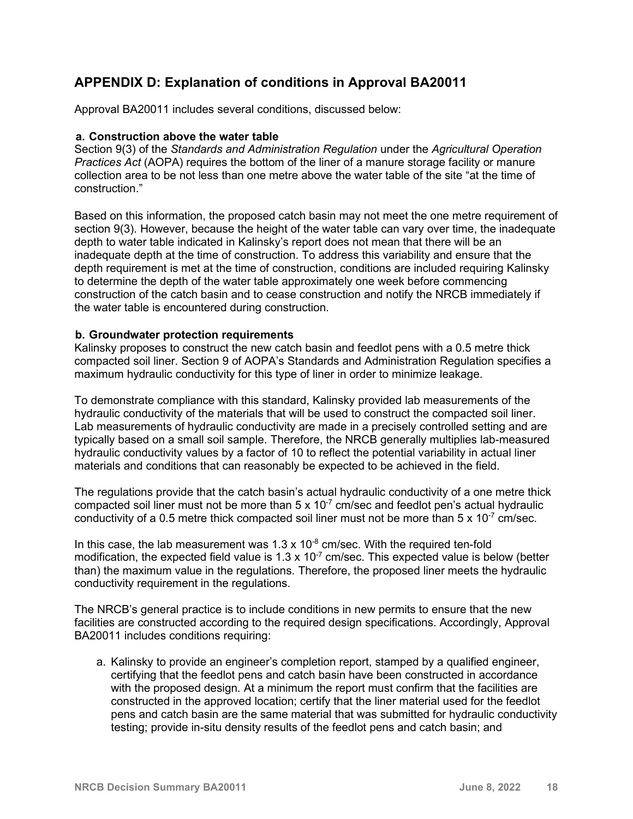# **APPENDIX D: Explanation of conditions in Approval BA20011**

Approval BA20011 includes several conditions, discussed below:

#### **a. Construction above the water table**

Section 9(3) of the *Standards and Administration Regulation* under the *Agricultural Operation Practices Act* (AOPA) requires the bottom of the liner of a manure storage facility or manure collection area to be not less than one metre above the water table of the site "at the time of construction."

Based on this information, the proposed catch basin may not meet the one metre requirement of section 9(3). However, because the height of the water table can vary over time, the inadequate depth to water table indicated in Kalinsky's report does not mean that there will be an inadequate depth at the time of construction. To address this variability and ensure that the depth requirement is met at the time of construction, conditions are included requiring Kalinsky to determine the depth of the water table approximately one week before commencing construction of the catch basin and to cease construction and notify the NRCB immediately if the water table is encountered during construction.

#### **b. Groundwater protection requirements**

Kalinsky proposes to construct the new catch basin and feedlot pens with a 0.5 metre thick compacted soil liner. Section 9 of AOPA's Standards and Administration Regulation specifies a maximum hydraulic conductivity for this type of liner in order to minimize leakage.

To demonstrate compliance with this standard, Kalinsky provided lab measurements of the hydraulic conductivity of the materials that will be used to construct the compacted soil liner. Lab measurements of hydraulic conductivity are made in a precisely controlled setting and are typically based on a small soil sample. Therefore, the NRCB generally multiplies lab-measured hydraulic conductivity values by a factor of 10 to reflect the potential variability in actual liner materials and conditions that can reasonably be expected to be achieved in the field.

The regulations provide that the catch basin's actual hydraulic conductivity of a one metre thick compacted soil liner must not be more than  $5 \times 10^{-7}$  cm/sec and feedlot pen's actual hydraulic conductivity of a 0.5 metre thick compacted soil liner must not be more than  $5 \times 10^{-7}$  cm/sec.

In this case, the lab measurement was  $1.3 \times 10^{-8}$  cm/sec. With the required ten-fold modification, the expected field value is  $1.3 \times 10^{-7}$  cm/sec. This expected value is below (better than) the maximum value in the regulations. Therefore, the proposed liner meets the hydraulic conductivity requirement in the regulations.

The NRCB's general practice is to include conditions in new permits to ensure that the new facilities are constructed according to the required design specifications. Accordingly, Approval BA20011 includes conditions requiring:

a. Kalinsky to provide an engineer's completion report, stamped by a qualified engineer, certifying that the feedlot pens and catch basin have been constructed in accordance with the proposed design. At a minimum the report must confirm that the facilities are constructed in the approved location; certify that the liner material used for the feedlot pens and catch basin are the same material that was submitted for hydraulic conductivity testing; provide in-situ density results of the feedlot pens and catch basin; and